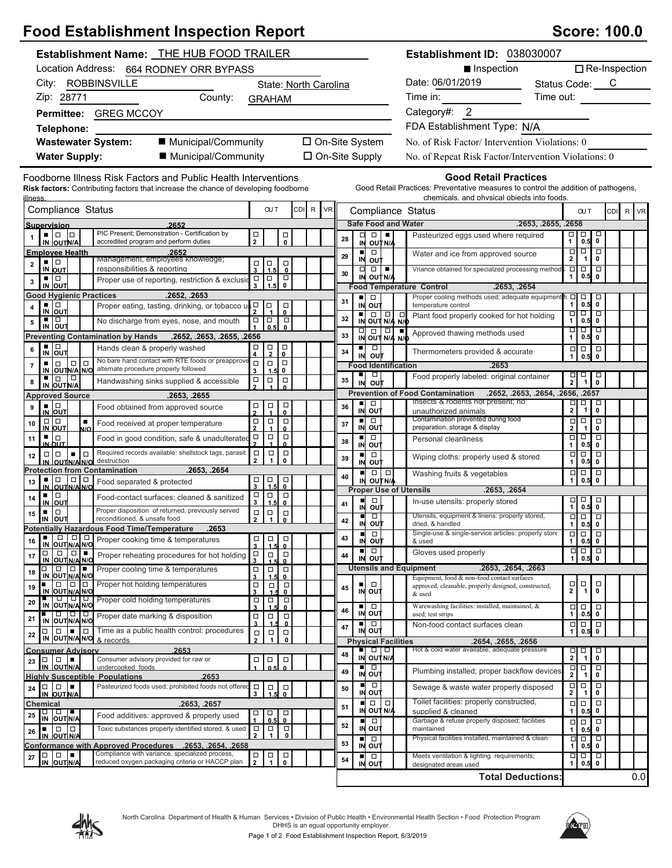# **Food Establishment Inspection Report Score: 100.0** Score: 100.0

| Establishment Name: THE HUB FOOD TRAILER                                                                                                                                                                                                                                                                                                                                                                                                                             |                                                                                      |                                                                                                                                                                                                                                                                                                   | Establishment ID: 038030007                                                                                        |                                                                                              |
|----------------------------------------------------------------------------------------------------------------------------------------------------------------------------------------------------------------------------------------------------------------------------------------------------------------------------------------------------------------------------------------------------------------------------------------------------------------------|--------------------------------------------------------------------------------------|---------------------------------------------------------------------------------------------------------------------------------------------------------------------------------------------------------------------------------------------------------------------------------------------------|--------------------------------------------------------------------------------------------------------------------|----------------------------------------------------------------------------------------------|
| Location Address: 664 RODNEY ORR BYPASS                                                                                                                                                                                                                                                                                                                                                                                                                              |                                                                                      |                                                                                                                                                                                                                                                                                                   | ■ Inspection                                                                                                       | $\Box$ Re-Inspection                                                                         |
| City: ROBBINSVILLE<br>State: North Carolina                                                                                                                                                                                                                                                                                                                                                                                                                          |                                                                                      |                                                                                                                                                                                                                                                                                                   | Date: 06/01/2019<br>$\overline{\phantom{a}}$                                                                       | Status Code: C                                                                               |
| Zip: 28771<br>County:                                                                                                                                                                                                                                                                                                                                                                                                                                                | <b>GRAHAM</b>                                                                        |                                                                                                                                                                                                                                                                                                   | Time in:                                                                                                           | Time out:                                                                                    |
| Permittee: GREG MCCOY                                                                                                                                                                                                                                                                                                                                                                                                                                                |                                                                                      |                                                                                                                                                                                                                                                                                                   | Category#: 2                                                                                                       |                                                                                              |
| Telephone:                                                                                                                                                                                                                                                                                                                                                                                                                                                           |                                                                                      |                                                                                                                                                                                                                                                                                                   | FDA Establishment Type: N/A                                                                                        |                                                                                              |
| ■ Municipal/Community<br><b>Wastewater System:</b>                                                                                                                                                                                                                                                                                                                                                                                                                   |                                                                                      | □ On-Site System                                                                                                                                                                                                                                                                                  | No. of Risk Factor/Intervention Violations: 0                                                                      |                                                                                              |
| <b>Water Supply:</b><br>■ Municipal/Community                                                                                                                                                                                                                                                                                                                                                                                                                        |                                                                                      | □ On-Site Supply                                                                                                                                                                                                                                                                                  | No. of Repeat Risk Factor/Intervention Violations: 0                                                               |                                                                                              |
|                                                                                                                                                                                                                                                                                                                                                                                                                                                                      |                                                                                      |                                                                                                                                                                                                                                                                                                   |                                                                                                                    |                                                                                              |
| Foodborne Illness Risk Factors and Public Health Interventions<br>Risk factors: Contributing factors that increase the chance of developing foodborne                                                                                                                                                                                                                                                                                                                |                                                                                      |                                                                                                                                                                                                                                                                                                   | <b>Good Retail Practices</b><br>Good Retail Practices: Preventative measures to control the addition of pathogens, |                                                                                              |
| <u>illness</u><br>Compliance Status                                                                                                                                                                                                                                                                                                                                                                                                                                  | CDI R VR<br><b>OUT</b>                                                               |                                                                                                                                                                                                                                                                                                   | chemicals, and physical objects into foods.                                                                        | R VR<br><b>CUT</b><br>CDI                                                                    |
| 2652                                                                                                                                                                                                                                                                                                                                                                                                                                                                 |                                                                                      | Compliance Status<br><b>Safe Food and Water</b>                                                                                                                                                                                                                                                   |                                                                                                                    | .2653, .2655, .2658                                                                          |
| Supervision<br>PIC Present; Demonstration - Certification by<br>$\blacksquare$ $\blacksquare$ $\blacksquare$                                                                                                                                                                                                                                                                                                                                                         | $\frac{\Box}{2}$<br>$_\mathrm{o}^\square$                                            | ᄆ<br>$\Box$<br>п.                                                                                                                                                                                                                                                                                 | Pasteurized eggs used where required                                                                               | 百<br>1<br>$\Box$<br>□                                                                        |
| IN OUTN/A<br>accredited program and perform duties                                                                                                                                                                                                                                                                                                                                                                                                                   |                                                                                      | 28<br>IN OUT N/A<br>$\Box$<br>$\blacksquare$                                                                                                                                                                                                                                                      |                                                                                                                    | 0<br>0.5<br>$\Box$<br>$\Box$<br>$\Box$                                                       |
| <b>Employee Health</b><br>.2652<br>Management, employees knowledge;<br>$\blacksquare$<br>$\mathbf 2$                                                                                                                                                                                                                                                                                                                                                                 | $\Box$<br>$\Box$                                                                     | 29<br>IN OUT                                                                                                                                                                                                                                                                                      | Water and ice from approved source                                                                                 | $\mathbf{2}$<br>-1<br>$\mathbf 0$                                                            |
| IN OUT<br>responsibilities & reporting<br>▪ □                                                                                                                                                                                                                                                                                                                                                                                                                        | $_\mathrm{o}^\square$<br>$\overline{\mathbf{3}}$<br>1.5<br>$\Box$                    | □<br>$\Box$<br>30<br>IN OUT N/A                                                                                                                                                                                                                                                                   | Vriance obtained for specialzed processing method                                                                  | ά<br>$\Box$<br>$\Box$<br>$\mathbf{0}$<br>0.5<br>1                                            |
| Proper use of reporting, restriction & exclusion<br>$\mathbf 3$<br>IN OUT                                                                                                                                                                                                                                                                                                                                                                                            | $\begin{matrix} 1 \\ 0 \end{matrix}$<br>$\overline{1.5}$                             | <b>Food Temperature Control</b>                                                                                                                                                                                                                                                                   | .2653. .2654                                                                                                       |                                                                                              |
| <b>Good Hygienic Practices</b><br>.2652, .2653<br>▪ □                                                                                                                                                                                                                                                                                                                                                                                                                | $\Box$                                                                               | $\blacksquare$<br>$\Box$<br>31<br>IN OUT                                                                                                                                                                                                                                                          | Proper cooling methods used; adequate equipment<br>temperature control                                             | fc ロ ロ<br>□<br>$\mathbf{1}$<br>0.5<br>$\mathbf{0}$                                           |
| Proper eating, tasting, drinking, or tobacco $\mathsf{u}_{\mathsf{2}}^{\mathsf{L}}$<br>4<br>IN OUT<br>▪ ▏□                                                                                                                                                                                                                                                                                                                                                           | $\begin{matrix} \square \\ 0 \end{matrix}$                                           | $\begin{array}{ c c c }\n\hline\n\blacksquare & \square & \square & \square \\ \hline\n\blacksquare & \square & \blacksquare & \blacksquare \\ \hline\n\blacksquare & \square & \blacksquare & \blacksquare \\ \hline\n\blacksquare & \square & \blacksquare & \blacksquare \\ \end{array}$<br>32 | Plant food properly cooked for hot holding                                                                         | $\overline{\phantom{a}}$<br>□<br>Ō                                                           |
| No discharge from eyes, nose, and mouth<br>5<br>IN OUT                                                                                                                                                                                                                                                                                                                                                                                                               | $\Box$<br>O<br>$\begin{array}{c} \square \\ 1 \end{array}$<br>$\mathbf{0}$<br>0.5    |                                                                                                                                                                                                                                                                                                   | Approved thawing methods used                                                                                      | $\mathbf{1}$<br>0.5<br>$\mathbf{0}$<br>माम<br>□                                              |
| <b>Preventing Contamination by Hands</b><br>.2652, .2653, .2655, .2656                                                                                                                                                                                                                                                                                                                                                                                               |                                                                                      | $\frac{1}{N}$ $\frac{1}{\frac{1}{N}}$ $\frac{1}{\frac{1}{N}}$ $\frac{1}{\frac{1}{N}}$<br>33                                                                                                                                                                                                       |                                                                                                                    | 1<br>$0.5$ 0                                                                                 |
| $\frac{1}{N}$ out<br>Hands clean & properly washed<br>6                                                                                                                                                                                                                                                                                                                                                                                                              | $\frac{\Box}{0}$<br>$\frac{\Box}{4}$<br>$\Box$                                       | o<br>$\blacksquare$<br>34<br>out<br>IN                                                                                                                                                                                                                                                            | Thermometers provided & accurate                                                                                   | $\Box$<br>$\Box$<br>0.5<br>$\mathbf{1}$<br>$\mathbf{0}$                                      |
| No bare hand contact with RTE foods or preapprove<br>$\Box   \Box$<br>$\Box$<br>٠<br>$\bf 7$<br>alternate procedure properly followed<br>IN OUTN/A N/O                                                                                                                                                                                                                                                                                                               | $\Box$<br>$\Box$<br>$\Box$<br>3<br>1.5<br>0                                          | <b>Food Identification</b>                                                                                                                                                                                                                                                                        | .2653                                                                                                              |                                                                                              |
| $\Box$<br>▪ □<br>Handwashing sinks supplied & accessible<br>8<br>IN OUT N/A                                                                                                                                                                                                                                                                                                                                                                                          | $\Box$<br>$\frac{\Box}{2}$<br>$\Box$                                                 | □<br>٠<br>35<br>out<br>IN                                                                                                                                                                                                                                                                         | Food properly labeled: original container                                                                          | $\Box$<br>$\Box$<br>□<br>$\overline{2}$<br>$\overline{1}$<br>$\mathbf 0$                     |
| <b>Approved Source</b><br>.2653, .2655                                                                                                                                                                                                                                                                                                                                                                                                                               |                                                                                      |                                                                                                                                                                                                                                                                                                   | <b>Prevention of Food Contamination</b>                                                                            | .2652, .2653, .2654, .2656, .2657                                                            |
| $\frac{1}{N}$ out<br>Food obtained from approved source<br>9                                                                                                                                                                                                                                                                                                                                                                                                         | $_{\rm o}^{\Box}$<br>$\frac{\Box}{1}$<br>ក្ន                                         | $\Box$<br>$\blacksquare$<br>36<br>IN OUT                                                                                                                                                                                                                                                          | Insects & rodents not present; no<br>unauthorized animals                                                          | $\overline{\mathbf{p}}$<br>o<br>$\Box$<br>$\pmb{0}$                                          |
| $\Box   \Box$<br>$\blacksquare$<br>10<br>Food received at proper temperature                                                                                                                                                                                                                                                                                                                                                                                         | $\Box$<br>$\Box$<br>$\Box$<br>$\overline{2}$                                         | Ō<br>$\blacksquare$<br>37<br>IN OUT                                                                                                                                                                                                                                                               | Contamination prevented during food                                                                                | $\overline{\square}$<br>$\Box$<br>$\Box$                                                     |
| IN OUT<br>N/O<br>▪ Ⅰ□<br>Food in good condition, safe & unadulterated<br>11                                                                                                                                                                                                                                                                                                                                                                                          | $\mathbf{0}$<br>$\Box$<br>$\Box$<br>о                                                | p<br>$\blacksquare$                                                                                                                                                                                                                                                                               | preparation, storage & display<br>Personal cleanliness                                                             | $\mathbf{2}$<br>0<br>$\overline{\mathbf{1}}$<br>$\Box$<br>p<br>□                             |
| <u>IN OUT</u><br>Required records available: shellstock tags, parasit<br>Iо<br>$\Box   \Box$<br>$\blacksquare$                                                                                                                                                                                                                                                                                                                                                       | $\Omega$<br>$\Box$<br>$\Box$<br>$\Box$                                               | 38<br><b>IN OUT</b><br>$\Box$<br>$\blacksquare$                                                                                                                                                                                                                                                   |                                                                                                                    | $\mathbf{1}$<br>0.5<br>$\mathbf 0$<br>$\Box$<br>$\overline{\square}$<br>$\overline{\square}$ |
| destruction<br>IN OUTNANO                                                                                                                                                                                                                                                                                                                                                                                                                                            | $\mathbf{1}$<br>$\mathbf 0$<br>$\mathbf{2}$                                          | 39<br>IN OUT                                                                                                                                                                                                                                                                                      | Wiping cloths: properly used & stored                                                                              | 0.5<br>1<br>0                                                                                |
| .2653, .2654<br><b>Protection from Contamination</b><br>▪│□<br>$ 0 0 $                                                                                                                                                                                                                                                                                                                                                                                               |                                                                                      | $\Box   \Box  $<br>п<br>40<br>IN OUTNA                                                                                                                                                                                                                                                            | Washing fruits & vegetables                                                                                        | $\Box$<br>$\Box$<br>$\Box$<br>0.5<br>$\mathbf 0$<br>$\mathbf{1}$                             |
| Food separated & protected<br>13<br>IN OUTNAINO<br>▪ │□                                                                                                                                                                                                                                                                                                                                                                                                              | $\overline{1.5}$<br>$\overline{0}$<br>$\frac{\Box}{3}$<br>$\Box$<br>$\Box$<br>$\Box$ | <b>Proper Use of Utensils</b>                                                                                                                                                                                                                                                                     | .2653, .2654                                                                                                       |                                                                                              |
| Food-contact surfaces: cleaned & sanitized<br>14<br>IN OUT                                                                                                                                                                                                                                                                                                                                                                                                           | 3<br>1.5<br>$\mathbf{0}$                                                             | п<br>$\Box$<br>41<br>IN<br>o∪t                                                                                                                                                                                                                                                                    | In-use utensils: properly stored                                                                                   | $\begin{array}{c}\n\Box \\ \mathbf{1}\n\end{array}$<br>$\Box$<br>$\Box$<br>$0.5$ 0           |
| Proper disposition of returned, previously served<br>$\Box$<br>٠<br>15<br>reconditioned, & unsafe food<br>IN OUT                                                                                                                                                                                                                                                                                                                                                     | $\Box$<br>$\Box$<br>$\Box$<br>$\overline{2}$<br>$\mathbf{1}$<br>$\mathbf{0}$         | $\Box$<br>п<br>42                                                                                                                                                                                                                                                                                 | Utensils, equipment & linens: properly stored,                                                                     | $\Box$<br>$\Box$<br>$\Box$                                                                   |
| <b>Potentially Hazardous Food Time/Temperature</b><br>.2653                                                                                                                                                                                                                                                                                                                                                                                                          |                                                                                      | IN OUT<br>$\Box$<br>п                                                                                                                                                                                                                                                                             | dried, & handled<br>Single-use & single-service articles: properly store                                           | 1 <sup>1</sup><br>$0.5$ 0<br>미미<br>$\Box$                                                    |
| $\Box   \Box   \Box$<br>Proper cooking time & temperatures<br>16<br>IN OUT N/A N/O                                                                                                                                                                                                                                                                                                                                                                                   | □<br>$\Box$<br>$\Box$<br>$\mathbf{0}$<br>$\overline{\mathbf{3}}$<br>1.5              | 43<br>IN<br>ουτ                                                                                                                                                                                                                                                                                   | & used                                                                                                             | $\mathbf{1}$<br>0.5<br>0                                                                     |
| $\Box   \Box   =$<br>$\Box$<br>Proper reheating procedures for hot holding<br>17<br>IN OUT N/A N/O                                                                                                                                                                                                                                                                                                                                                                   | о<br>$\Box$<br>$\Box$<br>3<br>0                                                      | $\Box$<br>ш<br>44<br>IN OUT                                                                                                                                                                                                                                                                       | Gloves used properly                                                                                               | $\Box$<br>$\Box$<br>$\Box$<br>1<br>$\pmb{0}$<br>0.5                                          |
| <b>ic icts</b><br>Proper cooling time & temperatures<br>$\Box$<br>18<br>IN OUT N/A N/O                                                                                                                                                                                                                                                                                                                                                                               | $\begin{array}{c}\n\Box \\ 3\n\end{array}$<br>$\Box$<br>$\Box$<br>$\mathbf{0}$       | <b>Utensils and Equipment</b>                                                                                                                                                                                                                                                                     | .2653, .2654, .2663                                                                                                |                                                                                              |
| Proper hot holding temperatures<br>$\Box$<br>$\Box$<br>19                                                                                                                                                                                                                                                                                                                                                                                                            | 1.5<br>$\Box$<br>$\Box$<br>$\Box$                                                    | $\Box$<br>п<br>45                                                                                                                                                                                                                                                                                 | Equipment, food & non-food contact surfaces<br>approved, cleanable, properly designed, constructed,                | $\Box$<br>□<br>$\Box$<br>$\overline{\mathbf{2}}$<br>$\mathbf 0$<br>$\overline{1}$            |
| IN OUT N/A N/O<br>णणण<br>Proper cold holding temperatures<br>20                                                                                                                                                                                                                                                                                                                                                                                                      | 0<br>$\Box$<br>$\Box$<br>$\Box$                                                      | IN OUT                                                                                                                                                                                                                                                                                            | & used                                                                                                             |                                                                                              |
| IN OUT N/A N/O<br><b>000</b><br>Proper date marking & disposition                                                                                                                                                                                                                                                                                                                                                                                                    | $\overline{\mathbf{3}}$<br>$\mathbf{0}$<br>$\Box$<br>$\Box$<br>$\Box$                | ٠<br>□<br>46<br>IN OUT                                                                                                                                                                                                                                                                            | Warewashing facilities: installed, maintained, &<br>used; test strips                                              | $\Box \Box$<br>$\Box$<br>$\mathbf{1}$<br>$\pmb{0}$<br>0.5                                    |
| 21<br>IN OUT N/A N/O<br>Time as a public health control: procedures<br>$\Box$<br>╹□<br>$\Box$                                                                                                                                                                                                                                                                                                                                                                        | $\overline{\mathbf{3}}$<br>$\mathbf{0}$<br>1                                         | $\Box$<br>◾<br>47<br>IN OUT                                                                                                                                                                                                                                                                       | Non-food contact surfaces clean                                                                                    | þ<br>$\Box$<br>$\Box$<br>$\mathbf{1}$<br>0.5<br>$\pmb{0}$                                    |
| 22<br>IN OUT N/A N/O<br>& records                                                                                                                                                                                                                                                                                                                                                                                                                                    | $\Box$<br>$\Box$<br>$\Box$<br>$\overline{2}$<br>$\mathbf{1}$<br>0                    | <b>Physical Facilities</b>                                                                                                                                                                                                                                                                        | .2654, .2655, .2656                                                                                                |                                                                                              |
| .2653<br><b>Consumer Advisory</b>                                                                                                                                                                                                                                                                                                                                                                                                                                    |                                                                                      | $\begin{array}{c} \square \end{array}$<br>p<br>■<br>48<br>IN OUT N/A                                                                                                                                                                                                                              | Hot & cold water available; adequate pressure                                                                      | $\Box$<br>$\Box$<br>Д<br>$\mathbf{2}$<br>0<br>$\overline{\mathbf{1}}$                        |
| $\Box$<br>١.<br>Consumer advisory provided for raw or<br>$\Box$<br>23<br>IN OUTN/A<br>undercooked foods                                                                                                                                                                                                                                                                                                                                                              | $\Box$<br>$\Box$<br>□<br>$\Omega$<br>0.5                                             | σ<br>ш                                                                                                                                                                                                                                                                                            | Plumbing installed; proper backflow devices                                                                        | Ξ<br>$\frac{\Box}{2}$<br>$\Box$                                                              |
| <b>Highly Susceptible Populations</b><br>2653                                                                                                                                                                                                                                                                                                                                                                                                                        |                                                                                      | 49<br>IN OUT<br>$\Box$                                                                                                                                                                                                                                                                            |                                                                                                                    | $\overline{\phantom{a}}$<br>0                                                                |
| Pasteurized foods used; prohibited foods not offered<br>$\Box$<br>$\Box$<br>24<br>IN OUT N/A                                                                                                                                                                                                                                                                                                                                                                         | $\Box$<br>$\Box$<br>$_{\rm o}^{\Box}$<br>3                                           | 50<br>IN OUT                                                                                                                                                                                                                                                                                      | Sewage & waste water properly disposed                                                                             | $\begin{array}{c} \square \\ 2 \end{array}$<br>$\Box$<br>0                                   |
| .2653, .2657<br>Chemical                                                                                                                                                                                                                                                                                                                                                                                                                                             |                                                                                      | $\Box$<br>$\blacksquare$<br>$\Box$<br>51<br>IN OUT N/A                                                                                                                                                                                                                                            | Toilet facilities: properly constructed,<br>supplied & cleaned                                                     | $\Box$<br>$\Box$<br>$\Box$<br>$\mathbf{1}$<br>0<br>0.5                                       |
| $\begin{array}{c c c c c c} \hline \rule{0pt}{12pt} & \rule{0pt}{2pt} \rule{0pt}{2pt} \rule{0pt}{2pt} \rule{0pt}{2pt} \rule{0pt}{2pt} \rule{0pt}{2pt} \rule{0pt}{2pt} \rule{0pt}{2pt} \rule{0pt}{2pt} \rule{0pt}{2pt} \rule{0pt}{2pt} \rule{0pt}{2pt} \rule{0pt}{2pt} \rule{0pt}{2pt} \rule{0pt}{2pt} \rule{0pt}{2pt} \rule{0pt}{2pt} \rule{0pt}{2pt} \rule{0pt}{2pt} \rule{0pt}{2pt} \rule{0pt}{2pt}$<br>25<br>Food additives: approved & properly used<br>IN OUTNA | $\Box$<br>$\overline{\phantom{0}}_0$<br>o<br>0.5                                     | п<br>$\Box$<br>52                                                                                                                                                                                                                                                                                 | Garbage & refuse properly disposed; facilities                                                                     | $\Box$<br>$\Box$<br>$\Box$                                                                   |
| Toxic substances properly identified stored, & used<br>. 10 10<br>26<br>IN OUT N/A                                                                                                                                                                                                                                                                                                                                                                                   | $\Box$<br>$\Box$<br>$\Box$<br>$\mathbf{1}$<br>$\pmb{0}$                              | IN OUT<br>$\Box$<br>ш                                                                                                                                                                                                                                                                             | maintained<br>Physical facilities installed, maintained & clean                                                    | $\mathbf 0$<br>0.5<br>$\mathbf{1}$<br>Ξ<br>p<br>Д                                            |
| Conformance with Approved Procedures .2653, .2654, .2658                                                                                                                                                                                                                                                                                                                                                                                                             |                                                                                      | 53<br>IN OUT                                                                                                                                                                                                                                                                                      |                                                                                                                    | $\mathbf{1}$<br>$0.5$ 0                                                                      |
| Compliance with variance, specialized process,<br>$\Box$<br>$\Box$<br>27<br>reduced oxygen packaging criteria or HACCP plan<br>IN OUTN/A                                                                                                                                                                                                                                                                                                                             | $\Box$<br>$\Box$<br>$\Box$<br>$\overline{2}$<br>1<br>$\mathbf 0$                     | $\Box$<br>ш<br>54<br>IN OUT                                                                                                                                                                                                                                                                       | Meets ventilation & lighting requirements;<br>designated areas used                                                | □<br>Δ<br>Ō<br>$\mathbf{1}$<br>0.5<br>$\mathbf 0$                                            |
|                                                                                                                                                                                                                                                                                                                                                                                                                                                                      |                                                                                      |                                                                                                                                                                                                                                                                                                   | <b>Total Deductions:</b>                                                                                           | 0.0                                                                                          |



North Carolina Department of Health & Human Services • Division of Public Health • Environmental Health Section • Food Protection Program DHHS is an egual opportunity employer.